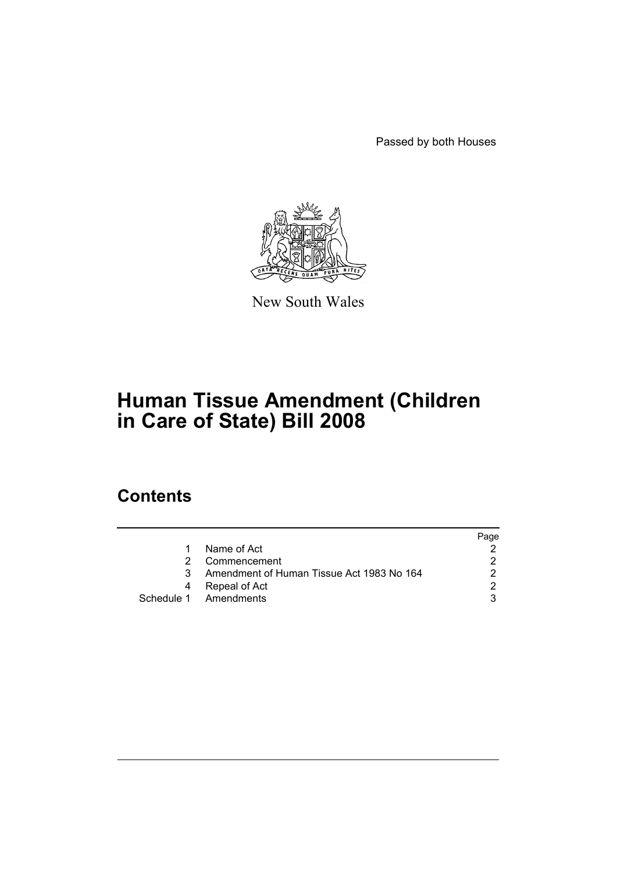Passed by both Houses



New South Wales

# **Human Tissue Amendment (Children in Care of State) Bill 2008**

## **Contents**

|    |                                           | Page |
|----|-------------------------------------------|------|
|    | Name of Act                               |      |
|    | Commencement                              |      |
| 3. | Amendment of Human Tissue Act 1983 No 164 |      |
| 4  | Repeal of Act                             | າ    |
|    | Schedule 1 Amendments                     |      |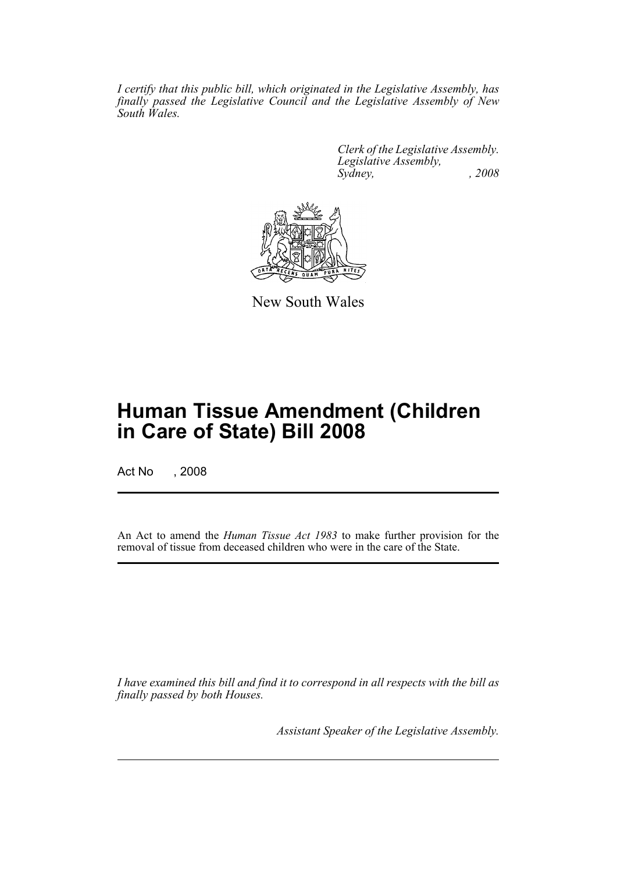*I certify that this public bill, which originated in the Legislative Assembly, has finally passed the Legislative Council and the Legislative Assembly of New South Wales.*

> *Clerk of the Legislative Assembly. Legislative Assembly, Sydney, , 2008*



New South Wales

## **Human Tissue Amendment (Children in Care of State) Bill 2008**

Act No , 2008

An Act to amend the *Human Tissue Act 1983* to make further provision for the removal of tissue from deceased children who were in the care of the State.

*I have examined this bill and find it to correspond in all respects with the bill as finally passed by both Houses.*

*Assistant Speaker of the Legislative Assembly.*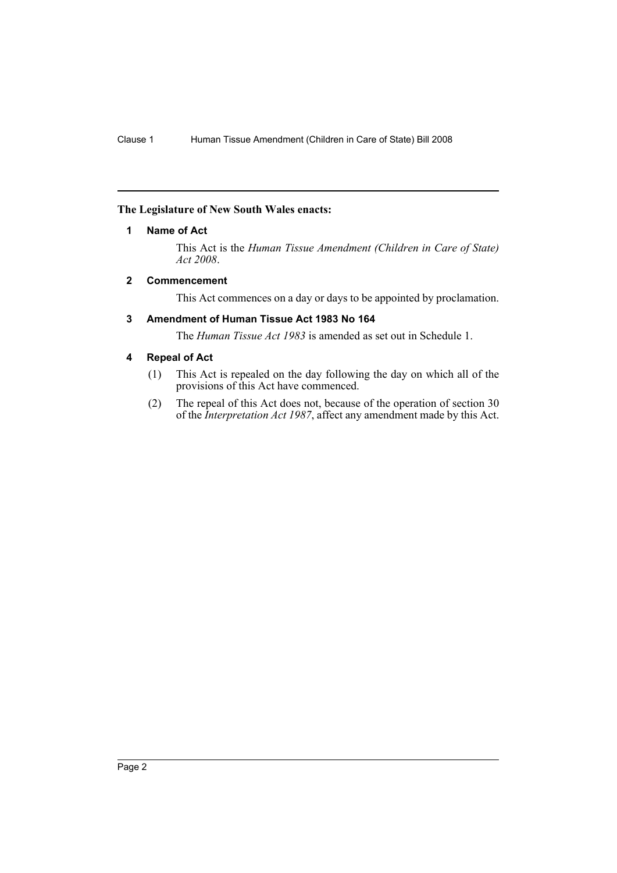#### <span id="page-2-0"></span>**The Legislature of New South Wales enacts:**

#### **1 Name of Act**

This Act is the *Human Tissue Amendment (Children in Care of State) Act 2008*.

#### <span id="page-2-1"></span>**2 Commencement**

This Act commences on a day or days to be appointed by proclamation.

#### <span id="page-2-2"></span>**3 Amendment of Human Tissue Act 1983 No 164**

The *Human Tissue Act 1983* is amended as set out in Schedule 1.

#### <span id="page-2-3"></span>**4 Repeal of Act**

- (1) This Act is repealed on the day following the day on which all of the provisions of this Act have commenced.
- (2) The repeal of this Act does not, because of the operation of section 30 of the *Interpretation Act 1987*, affect any amendment made by this Act.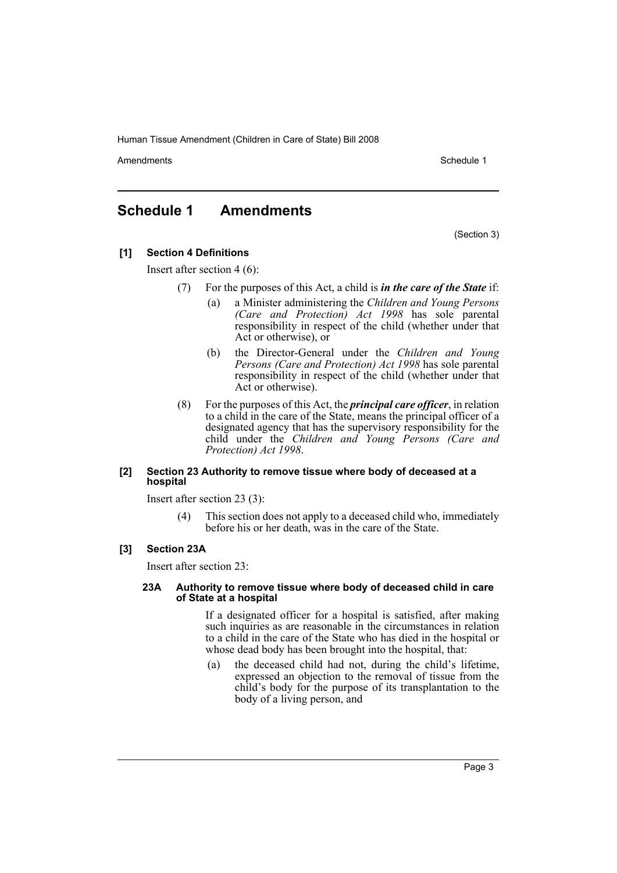Amendments **Amendments** Schedule 1

### <span id="page-3-0"></span>**Schedule 1 Amendments**

(Section 3)

#### **[1] Section 4 Definitions**

Insert after section 4 (6):

- (7) For the purposes of this Act, a child is *in the care of the State* if:
	- (a) a Minister administering the *Children and Young Persons (Care and Protection) Act 1998* has sole parental responsibility in respect of the child (whether under that Act or otherwise), or
	- (b) the Director-General under the *Children and Young Persons (Care and Protection) Act 1998* has sole parental responsibility in respect of the child (whether under that Act or otherwise).
- (8) For the purposes of this Act, the *principal care officer*, in relation to a child in the care of the State, means the principal officer of a designated agency that has the supervisory responsibility for the child under the *Children and Young Persons (Care and Protection) Act 1998*.

#### **[2] Section 23 Authority to remove tissue where body of deceased at a hospital**

Insert after section 23 (3):

(4) This section does not apply to a deceased child who, immediately before his or her death, was in the care of the State.

#### **[3] Section 23A**

Insert after section 23:

#### **23A Authority to remove tissue where body of deceased child in care of State at a hospital**

If a designated officer for a hospital is satisfied, after making such inquiries as are reasonable in the circumstances in relation to a child in the care of the State who has died in the hospital or whose dead body has been brought into the hospital, that:

(a) the deceased child had not, during the child's lifetime, expressed an objection to the removal of tissue from the child's body for the purpose of its transplantation to the body of a living person, and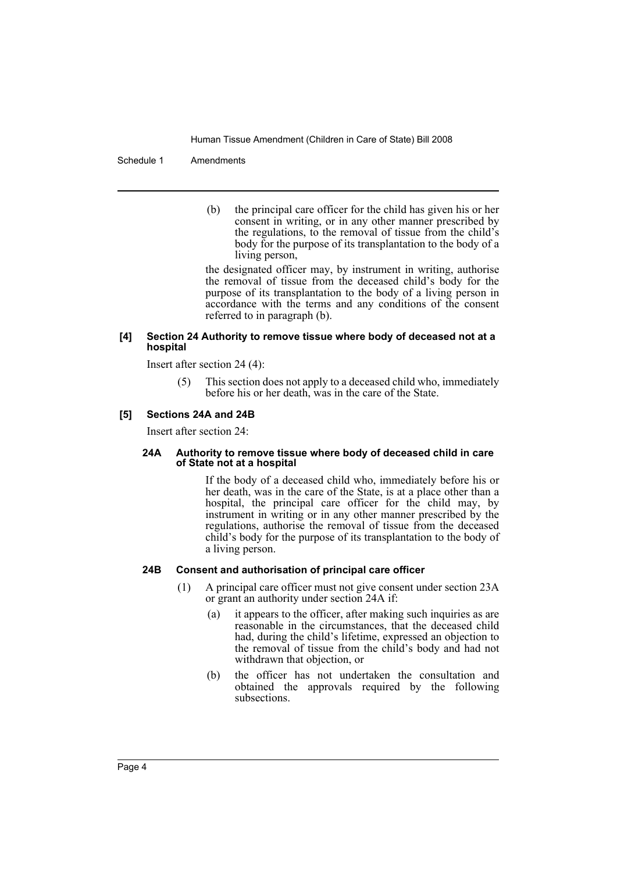Schedule 1 Amendments

(b) the principal care officer for the child has given his or her consent in writing, or in any other manner prescribed by the regulations, to the removal of tissue from the child's body for the purpose of its transplantation to the body of a living person,

the designated officer may, by instrument in writing, authorise the removal of tissue from the deceased child's body for the purpose of its transplantation to the body of a living person in accordance with the terms and any conditions of the consent referred to in paragraph (b).

#### **[4] Section 24 Authority to remove tissue where body of deceased not at a hospital**

Insert after section 24 (4):

(5) This section does not apply to a deceased child who, immediately before his or her death, was in the care of the State.

#### **[5] Sections 24A and 24B**

Insert after section 24:

#### **24A Authority to remove tissue where body of deceased child in care of State not at a hospital**

If the body of a deceased child who, immediately before his or her death, was in the care of the State, is at a place other than a hospital, the principal care officer for the child may, by instrument in writing or in any other manner prescribed by the regulations, authorise the removal of tissue from the deceased child's body for the purpose of its transplantation to the body of a living person.

#### **24B Consent and authorisation of principal care officer**

- (1) A principal care officer must not give consent under section 23A or grant an authority under section 24A if:
	- (a) it appears to the officer, after making such inquiries as are reasonable in the circumstances, that the deceased child had, during the child's lifetime, expressed an objection to the removal of tissue from the child's body and had not withdrawn that objection, or
	- (b) the officer has not undertaken the consultation and obtained the approvals required by the following subsections.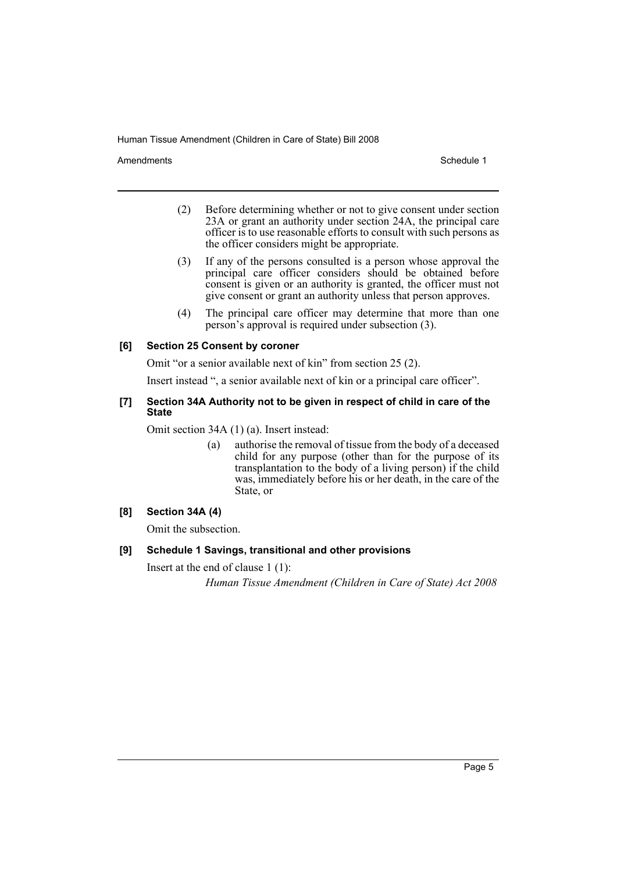Amendments **Schedule 1** and the set of the set of the set of the set of the set of the set of the set of the set of the set of the set of the set of the set of the set of the set of the set of the set of the set of the set

- (2) Before determining whether or not to give consent under section 23A or grant an authority under section 24A, the principal care officer is to use reasonable efforts to consult with such persons as the officer considers might be appropriate.
- (3) If any of the persons consulted is a person whose approval the principal care officer considers should be obtained before consent is given or an authority is granted, the officer must not give consent or grant an authority unless that person approves.
- (4) The principal care officer may determine that more than one person's approval is required under subsection (3).

#### **[6] Section 25 Consent by coroner**

Omit "or a senior available next of kin" from section 25 (2).

Insert instead ", a senior available next of kin or a principal care officer".

#### **[7] Section 34A Authority not to be given in respect of child in care of the State**

Omit section 34A (1) (a). Insert instead:

(a) authorise the removal of tissue from the body of a deceased child for any purpose (other than for the purpose of its transplantation to the body of a living person) if the child was, immediately before his or her death, in the care of the State, or

#### **[8] Section 34A (4)**

Omit the subsection.

#### **[9] Schedule 1 Savings, transitional and other provisions**

Insert at the end of clause 1 (1):

*Human Tissue Amendment (Children in Care of State) Act 2008*